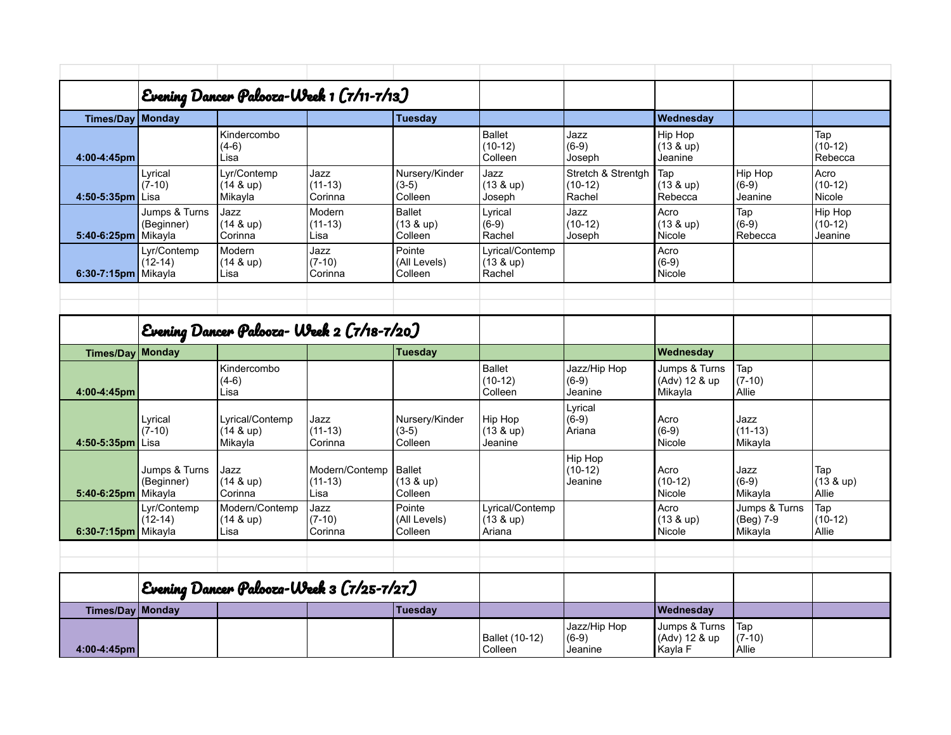|                        | Evening Dancer Palooza-Week 1 (7/11-7/13) |                                              |                              |                                         |                                                 |                                           |                                          |                               |                                 |
|------------------------|-------------------------------------------|----------------------------------------------|------------------------------|-----------------------------------------|-------------------------------------------------|-------------------------------------------|------------------------------------------|-------------------------------|---------------------------------|
| Times/Day   Monday     |                                           |                                              |                              | Tuesday                                 |                                                 |                                           | Wednesday                                |                               |                                 |
| 4:00-4:45pm            |                                           | Kindercombo<br>$(4-6)$<br>Lisa               |                              |                                         | Ballet<br>$(10-12)$<br>Colleen                  | Jazz<br>$(6-9)$<br>Joseph                 | Hip Hop<br>$(13 & \text{up})$<br>Jeanine |                               | Tap<br>$(10-12)$<br>Rebecca     |
| 4:50-5:35pm $Lisa$     | Lyrical<br>$(7-10)$                       | Lyr/Contemp<br>$(14 & \text{up})$<br>Mikayla | Jazz<br>$(11-13)$<br>Corinna | Nursery/Kinder<br>$(3-5)$<br>Colleen    | Jazz<br>$(13 & \text{up})$<br>Joseph            | Stretch & Strentgh<br>$(10-12)$<br>Rachel | Tap<br>$(13 & \text{up})$<br>Rebecca     | Hip Hop<br>$(6-9)$<br>Jeanine | Acro<br>$(10-12)$<br>Nicole     |
| 5:40-6:25pm   Mikayla  | Jumps & Turns<br>(Beginner)               | Jazz<br>$(14 & \text{up})$<br>Corinna        | Modern<br>$(11-13)$<br>Lisa  | Ballet<br>$(13 & \text{up})$<br>Colleen | Lyrical<br>$(6-9)$<br>Rachel                    | Jazz<br>$(10-12)$<br>Joseph               | Acro<br>$(13 & \text{up})$<br>Nicole     | Tap<br>$(6-9)$<br>Rebecca     | Hip Hop<br>$(10-12)$<br>Jeanine |
| $6:30-7:15$ pm Mikayla | Lyr/Contemp<br>(12-14)                    | Modern<br>(14 & up)<br>Lisa                  | Jazz<br>$(7-10)$<br>Corinna  | Pointe<br>(All Levels)<br>Colleen       | Lyrical/Contemp<br>$(13 & \text{up})$<br>Rachel |                                           | Acro<br>$(6-9)$<br>Nicole                |                               |                                 |
|                        |                                           |                                              |                              |                                         |                                                 |                                           |                                          |                               |                                 |

|                        |                                           | Evening Dancer Palooza- Week 2 (7/18-7/20)       |                                     |                                                |                                                 |                                    |                                           |                                       |                                    |
|------------------------|-------------------------------------------|--------------------------------------------------|-------------------------------------|------------------------------------------------|-------------------------------------------------|------------------------------------|-------------------------------------------|---------------------------------------|------------------------------------|
| Times/Day Monday       |                                           |                                                  |                                     | <b>Tuesday</b>                                 |                                                 |                                    | Wednesday                                 |                                       |                                    |
| 4:00-4:45pm            |                                           | Kindercombo<br>$(4-6)$<br>Lisa                   |                                     |                                                | <b>Ballet</b><br>$(10-12)$<br>Colleen           | Jazz/Hip Hop<br>$(6-9)$<br>Jeanine | Jumps & Turns<br>(Adv) 12 & up<br>Mikayla | Tap<br>$(7-10)$<br>Allie              |                                    |
| 4:50-5:35pm            | Lyrical<br>$(7-10)$<br>Lisa               | Lyrical/Contemp<br>$(14 & \text{up})$<br>Mikayla | Jazz<br>$(11-13)$<br>Corinna        | Nursery/Kinder<br>$(3-5)$<br>Colleen           | Hip Hop<br>$(13 & \text{up})$<br>Jeanine        | Lyrical<br>$(6-9)$<br>Ariana       | Acro<br>$(6-9)$<br>Nicole                 | Jazz<br>$(11-13)$<br>Mikayla          |                                    |
| 5:40-6:25pm            | Jumps & Turns<br>(Beginner)<br>Mikayla    | Jazz<br>$(14 & \text{up})$<br>Corinna            | Modern/Contemp<br>$(11-13)$<br>Lisa | <b>Ballet</b><br>$(13 & \text{up})$<br>Colleen |                                                 | Hip Hop<br>$(10-12)$<br>Jeanine    | Acro<br>$(10-12)$<br>Nicole               | Jazz<br>$(6-9)$<br>Mikayla            | Tap<br>$(13 & \text{up})$<br>Allie |
| $6:30-7:15$ pm Mikayla | Lyr/Contemp<br>$(12-14)$                  | Modern/Contemp<br>$(14 & \text{up})$<br>Lisa     | Jazz<br>$(7-10)$<br>Corinna         | Pointe<br>(All Levels)<br>Colleen              | Lyrical/Contemp<br>$(13 & \text{up})$<br>Ariana |                                    | Acro<br>$(13 & \text{up})$<br>Nicole      | Jumps & Turns<br>(Beg) 7-9<br>Mikayla | Tap<br>$(10-12)$<br>Allie          |
|                        |                                           |                                                  |                                     |                                                |                                                 |                                    |                                           |                                       |                                    |
|                        |                                           |                                                  |                                     |                                                |                                                 |                                    |                                           |                                       |                                    |
|                        | Evening Dancer Palooza-Week 3 (7/25-7/27) |                                                  |                                     |                                                |                                                 |                                    |                                           |                                       |                                    |
| Times/Day Monday       |                                           |                                                  |                                     | <b>Tuesday</b>                                 |                                                 |                                    | Wednesday                                 |                                       |                                    |
|                        |                                           |                                                  |                                     |                                                | Ballet (10-12)                                  | Jazz/Hip Hop<br>$(6-9)$            | Jumps & Turns<br>(Adv) 12 & up            | Tap<br>$(7-10)$                       |                                    |

Colleen

Jeanine

Kayla F

Allie

**4:00-4:45pm**